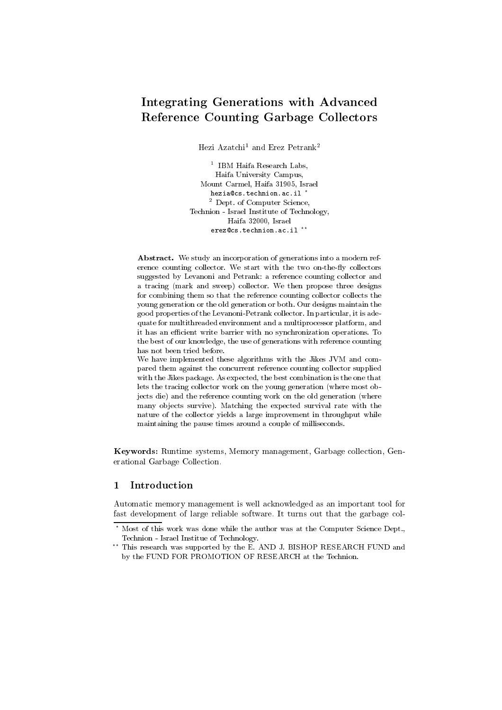# Integrating Generations with Advanced **Reference Counting Garbage Collectors**

Hezi Azatchi<sup>1</sup> and Erez Petrank<sup>2</sup>

<sup>1</sup> IBM Haifa Research Labs, Haifa University Campus, Mount Carmel, Haifa 31905, Israel hezia@cs.technion.ac.il \* <sup>2</sup> Dept. of Computer Science, Technion - Israel Institute of Technology, Haifa 32000. Israel erez@cs.technion.ac.il \*\*

**Abstract.** We study an incorporation of generations into a modern reference counting collector. We start with the two on-the-fly collectors suggested by Levanoni and Petrank: a reference counting collector and a tracing (mark and sweep) collector. We then propose three designs for combining them so that the reference counting collector collects the young generation or the old generation or both. Our designs maintain the good properties of the Levanoni-Petrank collector. In particular, it is adequate for multithreaded environment and a multiprocessor platform, and it has an efficient write barrier with no synchronization operations. To the best of our knowledge, the use of generations with reference counting has not been tried before.

We have implemented these algorithms with the Jikes JVM and compared them against the concurrent reference counting collector supplied with the Jikes package. As expected, the best combination is the one that lets the tracing collector work on the young generation (where most objects die) and the reference counting work on the old generation (where many objects survive). Matching the expected survival rate with the nature of the collector yields a large improvement in throughput while maintaining the pause times around a couple of milliseconds.

Keywords: Runtime systems, Memory management, Garbage collection, Generational Garbage Collection.

#### **Introduction**  $\mathbf{1}$

Automatic memory management is well acknowledged as an important tool for fast development of large reliable software. It turns out that the garbage col-

<sup>\*</sup> Most of this work was done while the author was at the Computer Science Dept., Technion - Israel Institue of Technology.

<sup>\*\*</sup> This research was supported by the E. AND J. BISHOP RESEARCH FUND and by the FUND FOR PROMOTION OF RESEARCH at the Technion.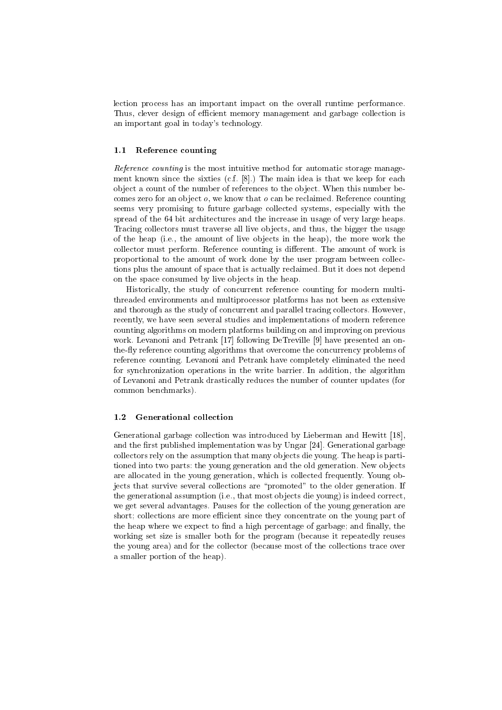lection process has an important impact on the overall runtime performance. Thus, clever design of efficient memory management and garbage collection is an important goal in today's technology.

#### $1.1$ Reference counting

*Reference counting* is the most intuitive method for automatic storage management known since the sixties (c.f. [8].) The main idea is that we keep for each object a count of the number of references to the object. When this number becomes zero for an object  $o$ , we know that  $o$  can be reclaimed. Reference counting seems very promising to future garbage collected systems, especially with the spread of the 64 bit architectures and the increase in usage of very large heaps. Tracing collectors must traverse all live objects, and thus, the bigger the usage of the heap (i.e., the amount of live objects in the heap), the more work the collector must perform. Reference counting is different. The amount of work is proportional to the amount of work done by the user program between collections plus the amount of space that is actually reclaimed. But it does not depend on the space consumed by live objects in the heap.

Historically, the study of concurrent reference counting for modern multithreaded environments and multiprocessor platforms has not been as extensive and thorough as the study of concurrent and parallel tracing collectors. However, recently, we have seen several studies and implementations of modern reference counting algorithms on modern platforms building on and improving on previous work. Levanoni and Petrank [17] following DeTreville [9] have presented an onthe-fly reference counting algorithms that overcome the concurrency problems of reference counting. Levanoni and Petrank have completely eliminated the need for synchronization operations in the write barrier. In addition, the algorithm of Levanoni and Petrank drastically reduces the number of counter updates (for common benchmarks).

#### $1.2$ Generational collection

Generational garbage collection was introduced by Lieberman and Hewitt [18]. and the first published implementation was by Ungar [24]. Generational garbage collectors rely on the assumption that many objects die young. The heap is partitioned into two parts: the young generation and the old generation. New objects are allocated in the young generation, which is collected frequently. Young objects that survive several collections are "promoted" to the older generation. If the generational assumption (i.e., that most objects die young) is indeed correct, we get several advantages. Pauses for the collection of the young generation are short; collections are more efficient since they concentrate on the young part of the heap where we expect to find a high percentage of garbage; and finally, the working set size is smaller both for the program (because it repeatedly reuses the young area) and for the collector (because most of the collections trace over a smaller portion of the heap).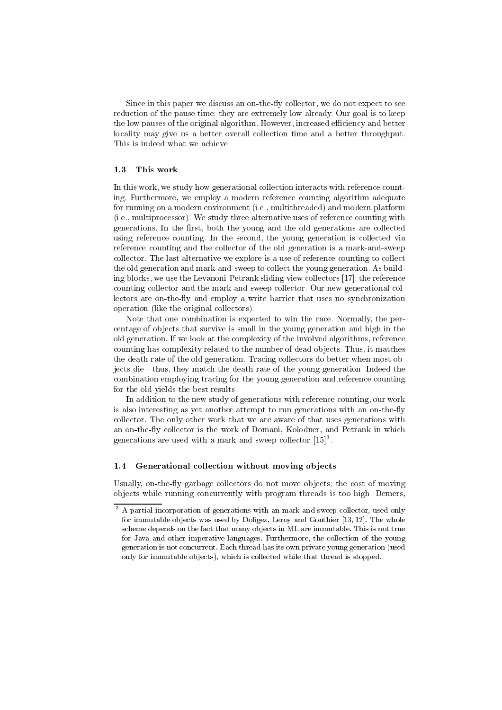Since in this paper we discuss an on-the-fly collector, we do not expect to see reduction of the pause time: they are extremely low already. Our goal is to keep the low pauses of the original algorithm. However, increased efficiency and better locality may give us a better overall collection time and a better throughput. This is indeed what we achieve.

#### 1.3 This work

In this work, we study how generational collection interacts with reference counting. Furthermore, we employ a modern reference counting algorithm adequate for running on a modern environment (i.e., multithreaded) and modern platform (i.e., multiprocessor). We study three alternative uses of reference counting with generations. In the first, both the young and the old generations are collected using reference counting. In the second, the young generation is collected via reference counting and the collector of the old generation is a mark-and-sweep collector. The last alternative we explore is a use of reference counting to collect the old generation and mark-and-sweep to collect the young generation. As building blocks, we use the Levanoni-Petrank sliding view collectors  $[17]$ : the reference counting collector and the mark-and-sweep collector. Our new generational collectors are on-the-fly and employ a write barrier that uses no synchronization operation (like the original collectors).

Note that one combination is expected to win the race. Normally, the percentage of objects that survive is small in the young generation and high in the old generation. If we look at the complexity of the involved algorithms, reference counting has complexity related to the number of dead objects. Thus, it matches the death rate of the old generation. Tracing collectors do better when most objects die - thus, they match the death rate of the young generation. Indeed the combination employing tracing for the young generation and reference counting for the old yields the best results.

In addition to the new study of generations with reference counting, our work is also interesting as yet another attempt to run generations with an on-the-fly collector. The only other work that we are aware of that uses generations with an on-the-fly collector is the work of Domani, Kolodner, and Petrank in which generations are used with a mark and sweep collector  $[15]^3$ .

#### 1.4 Generational collection without moving objects

Usually, on-the-fly garbage collectors do not move objects; the cost of moving objects while running concurrently with program threads is too high. Demers,

 $3\,$  A partial incorporation of generations with an mark and sweep collector, used only for immutable objects was used by Doligez, Leroy and Gonthier [13, 12]. The whole scheme depends on the fact that many objects in ML are immutable. This is not true for Java and other imperative languages. Furthermore, the collection of the young generation is not concurrent. Each thread has its own private young generation (used only for immutable objects), which is collected while that thread is stopped.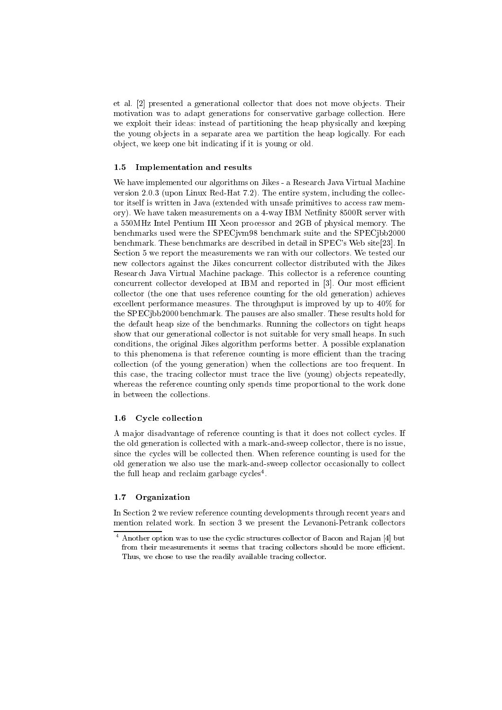et al. [2] presented a generational collector that does not move objects. Their motivation was to adapt generations for conservative garbage collection. Here we exploit their ideas: instead of partitioning the heap physically and keeping the young objects in a separate area we partition the heap logically. For each object, we keep one bit indicating if it is young or old.

### 1.5 Implementation and results

We have implemented our algorithms on Jikes - a Research Java Virtual Machine version 2.0.3 (upon Linux Red-Hat 7.2). The entire system, including the collector itself is written in Java (extended with unsafe primitives to access raw memory). We have taken measurements on a 4-way IBM Netfinity 8500R server with a 550MHz Intel Pentium III Xeon processor and 2GB of physical memory. The benchmarks used were the SPEC ymp. benchmark suite and the SPEC jbb 2000 benchmark. These benchmarks are described in detail in SPEC's Web site[23]. In Section 5 we report the measurements we ran with our collectors. We tested our new collectors against the Jikes concurrent collector distributed with the Jikes Research Java Virtual Machine package. This collector is a reference counting concurrent collector developed at IBM and reported in [3]. Our most efficient collector (the one that uses reference counting for the old generation) achieves excellent performance measures. The throughput is improved by up to  $40\%$  for the SPECjbb2000 benchmark. The pauses are also smaller. These results hold for the default heap size of the benchmarks. Running the collectors on tight heaps show that our generational collector is not suitable for very small heaps. In such conditions, the original Jikes algorithm performs better. A possible explanation to this phenomena is that reference counting is more efficient than the tracing collection (of the young generation) when the collections are too frequent. In this case, the tracing collector must trace the live (young) objects repeatedly, whereas the reference counting only spends time proportional to the work done in between the collections.

#### $1.6$ Cycle collection

A major disadvantage of reference counting is that it does not collect cycles. If the old generation is collected with a mark-and-sweep collector, there is no issue, since the cycles will be collected then. When reference counting is used for the old generation we also use the mark-and-sweep collector occasionally to collect the full heap and reclaim garbage cycles<sup>4</sup>.

#### $1.7$ Organization

In Section 2 we review reference counting developments through recent years and mention related work. In section 3 we present the Levanoni-Petrank collectors

<sup>&</sup>lt;sup>4</sup> Another option was to use the cyclic structures collector of Bacon and Rajan [4] but from their measurements it seems that tracing collectors should be more efficient. Thus, we chose to use the readily available tracing collector.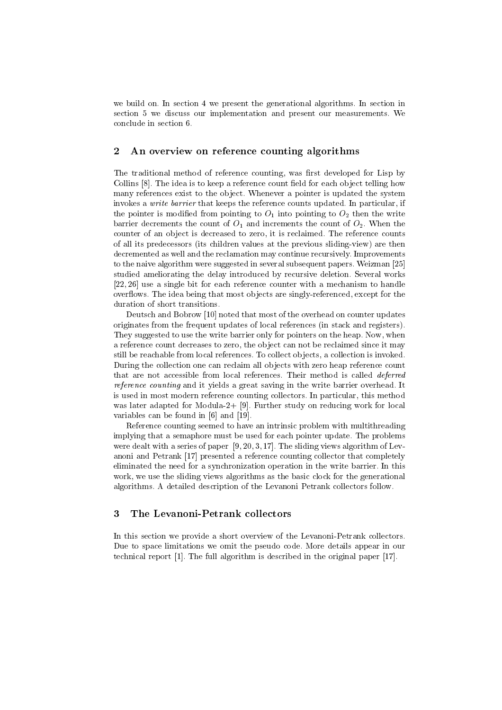we build on. In section 4 we present the generational algorithms. In section in section 5 we discuss our implementation and present our measurements. We conclude in section 6.

#### $\overline{2}$ An overview on reference counting algorithms

The traditional method of reference counting, was first developed for Lisp by Collins [8]. The idea is to keep a reference count field for each object telling how many references exist to the object. Whenever a pointer is updated the system invokes a *write barrier* that keeps the reference counts updated. In particular, if the pointer is modified from pointing to  $O_1$  into pointing to  $O_2$  then the write barrier decrements the count of  $O_1$  and increments the count of  $O_2$ . When the counter of an object is decreased to zero, it is reclaimed. The reference counts of all its predecessors (its children values at the previous sliding-view) are then decremented as well and the reclamation may continue recursively. Improvements to the naive algorithm were suggested in several subsequent papers. Weizman [25] studied ameliorating the delay introduced by recursive deletion. Several works  $[22, 26]$  use a single bit for each reference counter with a mechanism to handle overflows. The idea being that most objects are singly-referenced, except for the duration of short transitions.

Deutsch and Bobrow [10] noted that most of the overhead on counter updates originates from the frequent updates of local references (in stack and registers). They suggested to use the write barrier only for pointers on the heap. Now, when a reference count decreases to zero, the object can not be reclaimed since it may still be reachable from local references. To collect objects, a collection is invoked. During the collection one can reclaim all objects with zero heap reference count that are not accessible from local references. Their method is called *deferred reference counting* and it yields a great saving in the write barrier overhead. It is used in most modern reference counting collectors. In particular, this method was later adapted for Modula-2+ [9]. Further study on reducing work for local variables can be found in  $[6]$  and  $[19]$ .

Reference counting seemed to have an intrinsic problem with multithreading implying that a semaphore must be used for each pointer update. The problems were dealt with a series of paper  $[9, 20, 3, 17]$ . The sliding views algorithm of Levanoni and Petrank [17] presented a reference counting collector that completely eliminated the need for a synchronization operation in the write barrier. In this work, we use the sliding views algorithms as the basic clock for the generational algorithms. A detailed description of the Levanoni Petrank collectors follow.

#### The Levanoni-Petrank collectors 3

In this section we provide a short overview of the Levanoni-Petrank collectors. Due to space limitations we omit the pseudo code. More details appear in our technical report  $[1]$ . The full algorithm is described in the original paper  $[17]$ .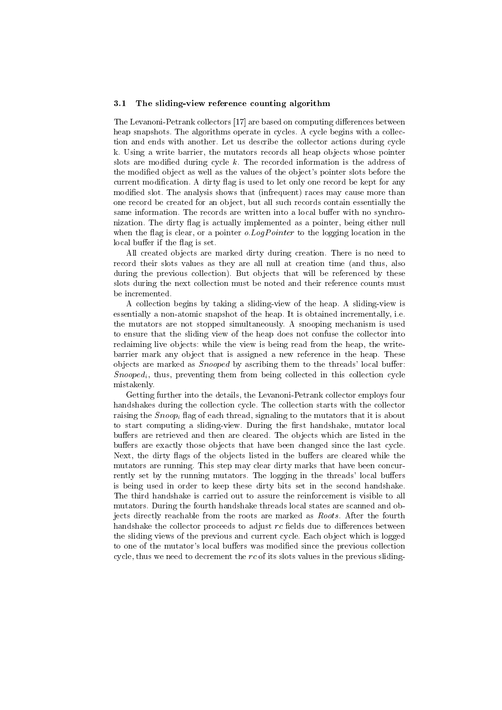#### $3.1$ The sliding-view reference counting algorithm

The Levanoni-Petrank collectors [17] are based on computing differences between heap snapshots. The algorithms operate in cycles. A cycle begins with a collection and ends with another. Let us describe the collector actions during cycle k. Using a write barrier, the mutators records all heap objects whose pointer slots are modified during cycle  $k$ . The recorded information is the address of the modified object as well as the values of the object's pointer slots before the current modification. A dirty flag is used to let only one record be kept for any modified slot. The analysis shows that (infrequent) races may cause more than one record be created for an object, but all such records contain essentially the same information. The records are written into a local buffer with no synchronization. The dirty flag is actually implemented as a pointer, being either null when the flag is clear, or a pointer  $o. LogPointer$  to the logging location in the local buffer if the flag is set.

All created objects are marked dirty during creation. There is no need to record their slots values as they are all null at creation time (and thus, also during the previous collection). But objects that will be referenced by these slots during the next collection must be noted and their reference counts must be incremented.

A collection begins by taking a sliding-view of the heap. A sliding-view is essentially a non-atomic snapshot of the heap. It is obtained incrementally, i.e. the mutators are not stopped simultaneously. A snooping mechanism is used to ensure that the sliding view of the heap does not confuse the collector into reclaiming live objects: while the view is being read from the heap, the writebarrier mark any object that is assigned a new reference in the heap. These objects are marked as *Snooped* by ascribing them to the threads' local buffer:  $Snooped_i$ , thus, preventing them from being collected in this collection cycle mistakenly.

Getting further into the details, the Levanoni-Petrank collector employs four handshakes during the collection cycle. The collection starts with the collector raising the  $S_{noop_i}$  flag of each thread, signaling to the mutators that it is about to start computing a sliding-view. During the first handshake, mutator local buffers are retrieved and then are cleared. The objects which are listed in the buffers are exactly those objects that have been changed since the last cycle. Next, the dirty flags of the objects listed in the buffers are cleared while the mutators are running. This step may clear dirty marks that have been concurrently set by the running mutators. The logging in the threads' local buffers is being used in order to keep these dirty bits set in the second handshake. The third handshake is carried out to assure the reinforcement is visible to all mutators. During the fourth handshake threads local states are scanned and objects directly reachable from the roots are marked as Roots. After the fourth handshake the collector proceeds to adjust  $rc$  fields due to differences between the sliding views of the previous and current cycle. Each object which is logged to one of the mutator's local buffers was modified since the previous collection cycle, thus we need to decrement the  $rc$  of its slots values in the previous sliding-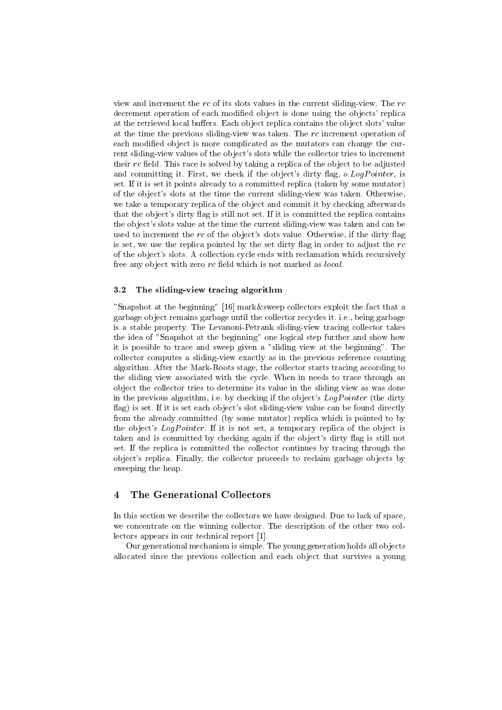view and increment the rc of its slots values in the current sliding-view. The rc decrement operation of each modified object is done using the objects' replica at the retrieved local buffers. Each object replica contains the object slots' value at the time the previous sliding-view was taken. The  $rc$  increment operation of each modified object is more complicated as the mutators can change the current sliding-view values of the object's slots while the collector tries to increment their  $rc$  field. This race is solved by taking a replica of the object to be adjusted and committing it. First, we check if the object's dirty flag, o.LogPointer, is set. If it is set it points already to a committed replica (taken by some mutator) of the object's slots at the time the current sliding-view was taken. Otherwise, we take a temporary replica of the object and commit it by checking afterwards that the object's dirty flag is still not set. If it is committed the replica contains the object's slots value at the time the current sliding-view was taken and can be used to increment the rc of the object's slots value. Otherwise, if the dirty flag is set, we use the replica pointed by the set dirty flag in order to adjust the  $rc$ of the object's slots. A collection cycle ends with reclamation which recursively free any object with zero rc field which is not marked as *local*.

#### The sliding-view tracing algorithm  $3.2$

"Snapshot at the beginning" [16] mark&sweep collectors exploit the fact that a garbage object remains garbage until the collector recycles it. i.e., being garbage is a stable property. The Levanoni-Petrank sliding-view tracing collector takes the idea of "Snapshot at the beginning" one logical step further and show how it is possible to trace and sweep given a "sliding view at the beginning". The collector computes a sliding-view exactly as in the previous reference counting algorithm. After the Mark-Roots stage, the collector starts tracing according to the sliding view associated with the cycle. When in needs to trace through an object the collector tries to determine its value in the sliding view as was done in the previous algorithm, i.e. by checking if the object's *LogPointer* (the dirty flag) is set. If it is set each object's slot sliding-view value can be found directly from the already committed (by some mutator) replica which is pointed to by the object's *LogPointer*. If it is not set, a temporary replica of the object is taken and is committed by checking again if the object's dirty flag is still not set. If the replica is committed the collector continues by tracing through the object's replica. Finally, the collector proceeds to reclaim garbage objects by sweeping the heap.

#### The Generational Collectors  $\overline{\mathbf{4}}$

In this section we describe the collectors we have designed. Due to lack of space. we concentrate on the winning collector. The description of the other two collectors appears in our technical report [1].

Our generational mechanism is simple. The young generation holds all objects allocated since the previous collection and each object that survives a young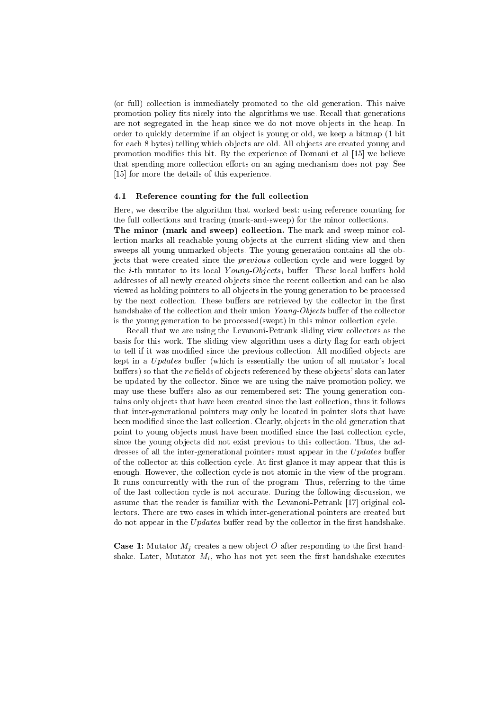(or full) collection is immediately promoted to the old generation. This naive promotion policy fits nicely into the algorithms we use. Recall that generations are not segregated in the heap since we do not move objects in the heap. In order to quickly determine if an object is young or old, we keep a bitmap (1 bit for each 8 bytes) telling which objects are old. All objects are created young and promotion modifies this bit. By the experience of Domani et al [15] we believe that spending more collection efforts on an aging mechanism does not pay. See [15] for more the details of this experience.

#### Reference counting for the full collection  $4.1$

Here, we describe the algorithm that worked best: using reference counting for the full collections and tracing (mark-and-sweep) for the minor collections. The minor (mark and sweep) collection. The mark and sweep minor collection marks all reachable young objects at the current sliding view and then sweeps all young unmarked objects. The young generation contains all the objects that were created since the *previous* collection cycle and were logged by the *i*-th mutator to its local  $Young-Objects_i$  buffer. These local buffers hold addresses of all newly created objects since the recent collection and can be also viewed as holding pointers to all objects in the young generation to be processed by the next collection. These buffers are retrieved by the collector in the first handshake of the collection and their union Young-Objects buffer of the collector is the young generation to be processed (swept) in this minor collection cycle.

Recall that we are using the Levanoni-Petrank sliding view collectors as the basis for this work. The sliding view algorithm uses a dirty flag for each object to tell if it was modified since the previous collection. All modified objects are kept in a Updates buffer (which is essentially the union of all mutator's local buffers) so that the rc fields of objects referenced by these objects' slots can later be updated by the collector. Since we are using the naive promotion policy, we may use these buffers also as our remembered set: The young generation contains only objects that have been created since the last collection, thus it follows that inter-generational pointers may only be located in pointer slots that have been modified since the last collection. Clearly, objects in the old generation that point to young objects must have been modified since the last collection cycle, since the young objects did not exist previous to this collection. Thus, the addresses of all the inter-generational pointers must appear in the *Updates* buffer of the collector at this collection cycle. At first glance it may appear that this is enough. However, the collection cycle is not atomic in the view of the program. It runs concurrently with the run of the program. Thus, referring to the time of the last collection cycle is not accurate. During the following discussion, we assume that the reader is familiar with the Levanoni-Petrank [17] original collectors. There are two cases in which inter-generational pointers are created but do not appear in the  $Updates$  buffer read by the collector in the first handshake.

**Case 1:** Mutator  $M_i$  creates a new object O after responding to the first handshake. Later, Mutator  $M_i$ , who has not yet seen the first handshake executes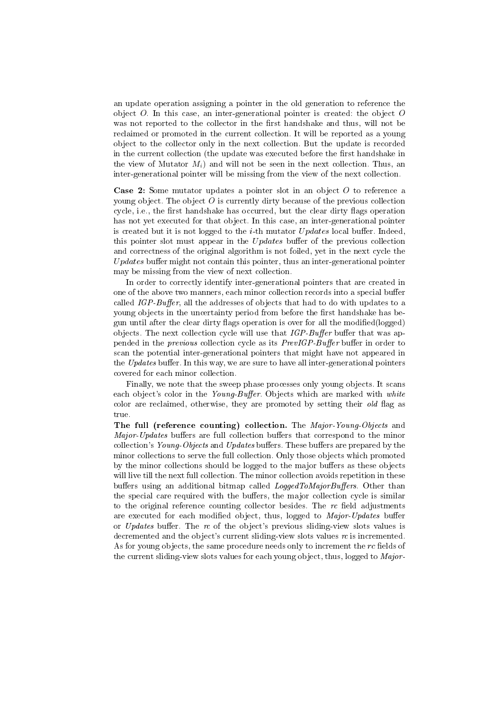an update operation assigning a pointer in the old generation to reference the object  $O$ . In this case, an inter-generational pointer is created: the object  $O$ was not reported to the collector in the first handshake and thus, will not be reclaimed or promoted in the current collection. It will be reported as a young object to the collector only in the next collection. But the update is recorded in the current collection (the update was executed before the first handshake in the view of Mutator  $M_i$ ) and will not be seen in the next collection. Thus, an inter-generational pointer will be missing from the view of the next collection.

**Case 2:** Some mutator updates a pointer slot in an object  $O$  to reference a young object. The object  $O$  is currently dirty because of the previous collection cycle, i.e., the first handshake has occurred, but the clear dirty flags operation has not yet executed for that object. In this case, an inter-generational pointer is created but it is not logged to the *i*-th mutator  $Updates$  local buffer. Indeed, this pointer slot must appear in the Updates buffer of the previous collection and correctness of the original algorithm is not foiled, yet in the next cycle the  $Updates$  buffer might not contain this pointer, thus an inter-generational pointer may be missing from the view of next collection.

In order to correctly identify inter-generational pointers that are created in one of the above two manners, each minor collection records into a special buffer called *IGP-Buffer*, all the addresses of objects that had to do with updates to a young objects in the uncertainty period from before the first handshake has begun until after the clear dirty flags operation is over for all the modified (logged) objects. The next collection cycle will use that  $IGP-Buffer$  buffer that was appended in the *previous* collection cycle as its *PrevIGP-Buffer* buffer in order to scan the potential inter-generational pointers that might have not appeared in the Updates buffer. In this way, we are sure to have all inter-generational pointers covered for each minor collection.

Finally, we note that the sweep phase processes only young objects. It scans each object's color in the Young-Buffer. Objects which are marked with white color are reclaimed, otherwise, they are promoted by setting their old flag as true.

The full (reference counting) collection. The Major-Young-Objects and *Major-Updates* buffers are full collection buffers that correspond to the minor collection's Young-Objects and Updates buffers. These buffers are prepared by the minor collections to serve the full collection. Only those objects which promoted by the minor collections should be logged to the major buffers as these objects will live till the next full collection. The minor collection avoids repetition in these buffers using an additional bitmap called LoggedToMajorBuffers. Other than the special care required with the buffers, the major collection cycle is similar to the original reference counting collector besides. The rc field adjustments are executed for each modified object, thus, logged to Major-Updates buffer or Updates buffer. The rc of the object's previous sliding-view slots values is decremented and the object's current sliding-view slots values rc is incremented. As for young objects, the same procedure needs only to increment the rc fields of the current sliding-view slots values for each young object, thus, logged to Major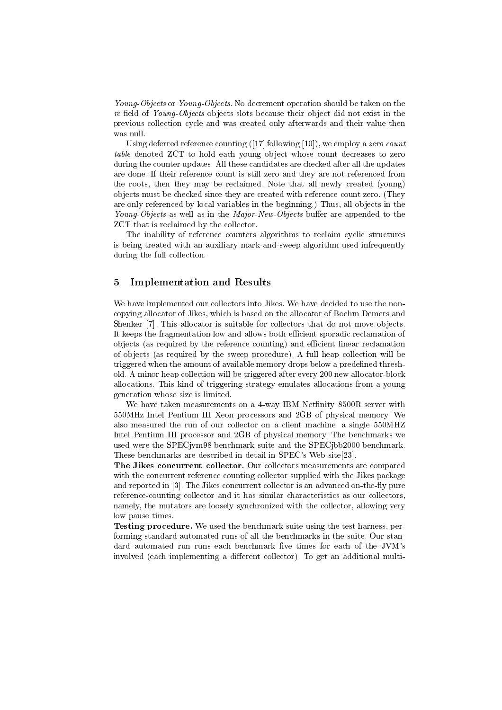*Young-Objects* or *Young-Objects*. No decrement operation should be taken on the rc field of Young-Objects objects slots because their object did not exist in the previous collection cycle and was created only afterwards and their value then was null.

Using deferred reference counting ([17] following [10]), we employ a zero count *table* denoted ZCT to hold each young object whose count decreases to zero during the counter updates. All these candidates are checked after all the updates are done. If their reference count is still zero and they are not referenced from the roots, then they may be reclaimed. Note that all newly created (young) objects must be checked since they are created with reference count zero. (They are only referenced by local variables in the beginning.) Thus, all objects in the *Young-Objects* as well as in the *Major-New-Objects* buffer are appended to the ZCT that is reclaimed by the collector.

The inability of reference counters algorithms to reclaim cyclic structures is being treated with an auxiliary mark-and-sweep algorithm used infrequently during the full collection.

#### **Implementation and Results** 5

We have implemented our collectors into Jikes. We have decided to use the noncopying allocator of Jikes, which is based on the allocator of Boehm Demers and Shenker [7]. This allocator is suitable for collectors that do not move objects. It keeps the fragmentation low and allows both efficient sporadic reclamation of objects (as required by the reference counting) and efficient linear reclamation of objects (as required by the sweep procedure). A full heap collection will be triggered when the amount of available memory drops below a predefined threshold. A minor heap collection will be triggered after every 200 new allocator-block allocations. This kind of triggering strategy emulates allocations from a young generation whose size is limited.

We have taken measurements on a 4-way IBM Netfinity 8500R server with 550MHz Intel Pentium III Xeon processors and 2GB of physical memory. We also measured the run of our collector on a client machine: a single 550MHZ Intel Pentium III processor and 2GB of physical memory. The benchmarks we used were the SPEC vm98 benchmark suite and the SPEC ibb2000 benchmark. These benchmarks are described in detail in SPEC's Web site[23].

The Jikes concurrent collector. Our collectors measurements are compared with the concurrent reference counting collector supplied with the Jikes package and reported in [3]. The Jikes concurrent collector is an advanced on-the-fly pure reference-counting collector and it has similar characteristics as our collectors, namely, the mutators are loosely synchronized with the collector, allowing very low pause times.

Testing procedure. We used the benchmark suite using the test harness, performing standard automated runs of all the benchmarks in the suite. Our standard automated run runs each benchmark five times for each of the JVM's involved (each implementing a different collector). To get an additional multi-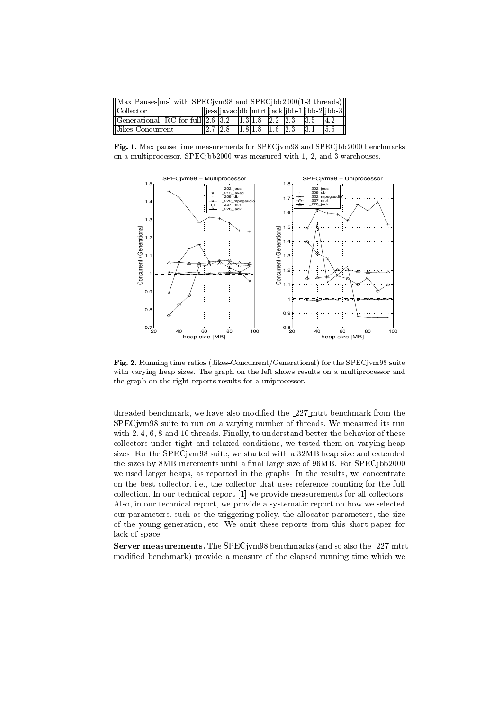| [Max Pauses [ms] with SPEC ym98 and SPEC jbb2000 (1-3 threads)]       |             |  |  |                 |  |  |      |                                                                                                        |
|-----------------------------------------------------------------------|-------------|--|--|-----------------|--|--|------|--------------------------------------------------------------------------------------------------------|
| $\Box$ Collector                                                      |             |  |  |                 |  |  |      | $\left\{ \frac{\text{loss}}{\text{loss}} \right\}$ [javac db   mtrt   jack   jbb-1   jbb-2   jbb-3   ] |
| Generational: RC for full $[2.6 \ 3.2 \ 1.3]$ 1.8 $[2.2 \ 2.3 \ 1.3]$ |             |  |  |                 |  |  | -3.5 | <sup>1</sup> 4.2                                                                                       |
| Jikes-Concurrent                                                      | $12.7$ 12.8 |  |  | 1.8 1.8 1.6 2.3 |  |  | 13.1 | 15.5                                                                                                   |

Fig. 1. Max pause time measurements for SPECivm98 and SPECibb2000 benchmarks on a multiprocessor. SPEC(bb2000 was measured with 1, 2, and 3 warehouses.



Fig. 2. Running time ratios (Jikes-Concurrent/Generational) for the SPECjvm98 suite with varying heap sizes. The graph on the left shows results on a multiprocessor and the graph on the right reports results for a uniprocessor.

threaded benchmark, we have also modified the \_227\_mtrt benchmark from the SPEC ivm 98 suite to run on a varying number of threads. We measured its run with 2, 4, 6, 8 and 10 threads. Finally, to understand better the behavior of these collectors under tight and relaxed conditions, we tested them on varying heap sizes. For the SPEC jvm98 suite, we started with a 32MB heap size and extended the sizes by 8MB increments until a final large size of 96MB. For SPECjbb2000 we used larger heaps, as reported in the graphs. In the results, we concentrate on the best collector, i.e., the collector that uses reference-counting for the full collection. In our technical report [1] we provide measurements for all collectors. Also, in our technical report, we provide a systematic report on how we selected our parameters, such as the triggering policy, the allocator parameters, the size of the young generation, etc. We omit these reports from this short paper for lack of space.

Server measurements. The SPECjvm98 benchmarks (and so also the \_227\_mtrt modified benchmark) provide a measure of the elapsed running time which we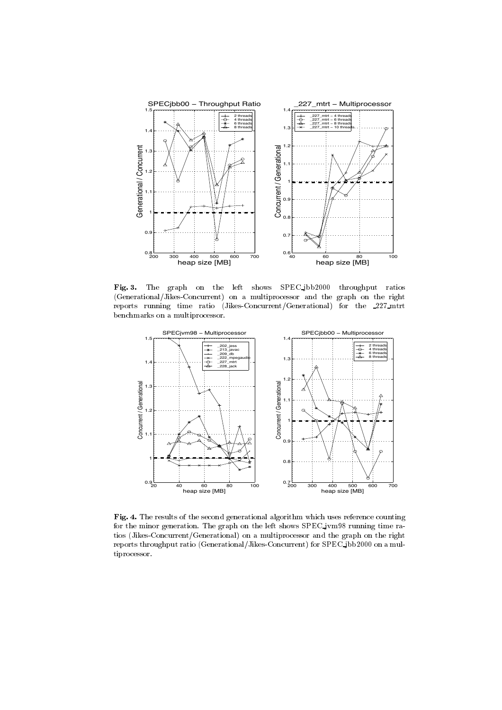

 $\bullet$  . The stage of the contractions of  $\bullet$  , and the stage of  $\bullet$  $\mathbf{N}$  ,  $\mathbf{N}$  ,  $\mathbf{N}$  ,  $\mathbf{N}$  ,  $\mathbf{N}$  ,  $\mathbf{N}$  ,  $\mathbf{N}$  ,  $\mathbf{N}$  ,  $\mathbf{N}$  ,  $\mathbf{N}$  ,  $\mathbf{N}$  ,  $\mathbf{N}$  ,  $\mathbf{N}$  ,  $\mathbf{N}$  ,  $\mathbf{N}$  ,  $\mathbf{N}$  ,  $\mathbf{N}$  ,  $\mathbf{N}$  ,  $\mathbf{N}$  ,  $\mathbf{N}$  ,  $\blacksquare$  . The contract of the contract of the contract of the contract of the contract of the contract of the contract of the contract of the contract of the contract of the contract of the contract of the contract of the % .3, \$ B; /  &&A  , !



 $\blacksquare$  in the results of the second generational algorithm which uses reference counting  $\blacksquare$  . The set of the set of the set of the set of the set of the set of the set of the set of the set of the set of the set of the set of the set of the set of the set of the set of the set of the set of the set of the .3, \$ B; / (  %   %  % .; B3, \$ / "+8 7& \$ . . *.* . . . . . . . . .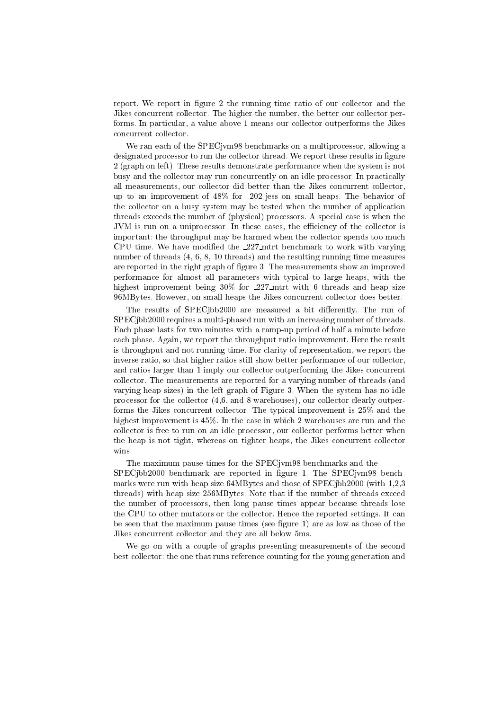report. We report in figure 2 the running time ratio of our collector and the Jikes concurrent collector. The higher the number, the better our collector performs. In particular, a value above 1 means our collector outperforms the Jikes concurrent collector.

We ran each of the SPEC ym98 benchmarks on a multiprocessor, allowing a designated processor to run the collector thread. We report these results in figure 2 (graph on left). These results demonstrate performance when the system is not busy and the collector may run concurrently on an idle processor. In practically all measurements, our collector did better than the Jikes concurrent collector, up to an improvement of  $48\%$  for  $202$  jess on small heaps. The behavior of the collector on a busy system may be tested when the number of application threads exceeds the number of (physical) processors. A special case is when the JVM is run on a uniprocessor. In these cases, the efficiency of the collector is important: the throughput may be harmed when the collector spends too much CPU time. We have modified the \_227\_mtrt benchmark to work with varying number of threads (4, 6, 8, 10 threads) and the resulting running time measures are reported in the right graph of figure 3. The measurements show an improved performance for almost all parameters with typical to large heaps, with the highest improvement being 30% for 227\_mtrt with 6 threads and heap size 96MBytes. However, on small heaps the Jikes concurrent collector does better.

The results of SPECibb2000 are measured a bit differently. The run of SPEC<sub>j</sub>bb2000 requires a multi-phased run with an increasing number of threads. Each phase lasts for two minutes with a ramp-up period of half a minute before each phase. Again, we report the throughput ratio improvement. Here the result is throughput and not running-time. For clarity of representation, we report the inverse ratio, so that higher ratios still show better performance of our collector, and ratios larger than 1 imply our collector outperforming the Jikes concurrent collector. The measurements are reported for a varying number of threads (and varying heap sizes) in the left graph of Figure 3. When the system has no idle processor for the collector (4,6, and 8 warehouses), our collector clearly outperforms the Jikes concurrent collector. The typical improvement is  $25\%$  and the highest improvement is 45%. In the case in which 2 warehouses are run and the collector is free to run on an idle processor, our collector performs better when the heap is not tight, whereas on tighter heaps, the Jikes concurrent collector wins.

The maximum pause times for the SPEC jvm98 benchmarks and the SPECibb2000 benchmark are reported in figure 1. The SPECivm98 benchmarks were run with heap size 64MBytes and those of SPECjbb2000 (with 1,2,3) threads) with heap size 256MBytes. Note that if the number of threads exceed the number of processors, then long pause times appear because threads lose the CPU to other mutators or the collector. Hence the reported settings. It can be seen that the maximum pause times (see figure 1) are as low as those of the Jikes concurrent collector and they are all below 5ms.

We go on with a couple of graphs presenting measurements of the second best collector: the one that runs reference counting for the young generation and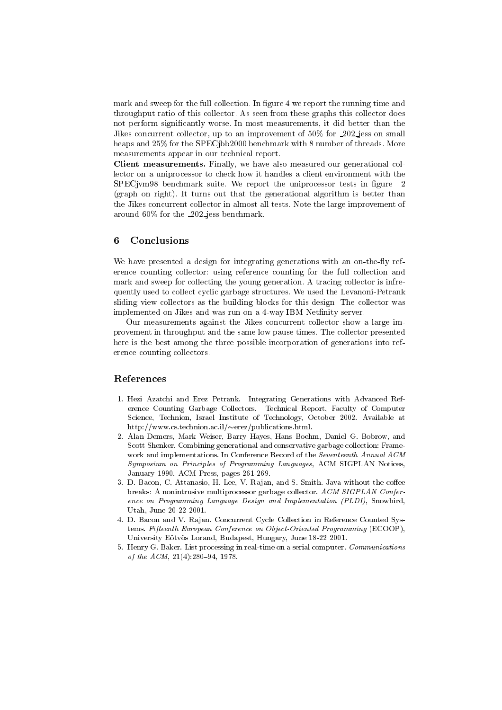mark and sweep for the full collection. In figure 4 we report the running time and throughput ratio of this collector. As seen from these graphs this collector does not perform significantly worse. In most measurements, it did better than the Jikes concurrent collector, up to an improvement of 50% for \_202\_jess on small heaps and 25% for the SPEC jbb 2000 benchmark with 8 number of threads. More measurements appear in our technical report.

Client measurements. Finally, we have also measured our generational collector on a uniprocessor to check how it handles a client environment with the SPEC ivm98 benchmark suite. We report the uniprocessor tests in figure 2 (graph on right). It turns out that the generational algorithm is better than the Jikes concurrent collector in almost all tests. Note the large improvement of around  $60\%$  for the  $202$  jess benchmark.

#### 6 Conclusions

We have presented a design for integrating generations with an on-the-fly reference counting collector: using reference counting for the full collection and mark and sweep for collecting the young generation. A tracing collector is infrequently used to collect cyclic garbage structures. We used the Levanoni-Petrank sliding view collectors as the building blocks for this design. The collector was implemented on Jikes and was run on a 4-way IBM Netfinity server.

Our measurements against the Jikes concurrent collector show a large improvement in throughput and the same low pause times. The collector presented here is the best among the three possible incorporation of generations into reference counting collectors.

## References

- 1. Hezi Azatchi and Erez Petrank. Integrating Generations with Advanced Reference Counting Garbage Collectors. Technical Report, Faculty of Computer Science, Technion, Israel Institute of Technology, October 2002. Available at http://www.cs.technion.ac.il/ $\sim$ erez/publications.html.
- 2. Alan Demers, Mark Weiser, Barry Hayes, Hans Boehm, Daniel G. Bobrow, and Scott Shenker. Combining generational and conservative garbage collection: Framework and implementations. In Conference Record of the Seventeenth Annual ACM Symposium on Principles of Programming Languages, ACM SIGPLAN Notices, January 1990. ACM Press, pages 261-269.
- 3. D. Bacon, C. Attanasio, H. Lee, V. Rajan, and S. Smith. Java without the coffee breaks: A nonintrusive multiprocessor garbage collector. ACM SIGPLAN Conference on Programming Language Design and Implementation (PLDI), Snowbird, Utah, June 20-22 2001.
- 4. D. Bacon and V. Rajan. Concurrent Cycle Collection in Reference Counted Systems. Fifteenth European Conference on Object-Oriented Programming (ECOOP), University Eötvös Lorand, Budapest, Hungary, June 18-22 2001.
- 5. Henry G. Baker. List processing in real-time on a serial computer. Communications of the ACM, 21(4):280-94, 1978.